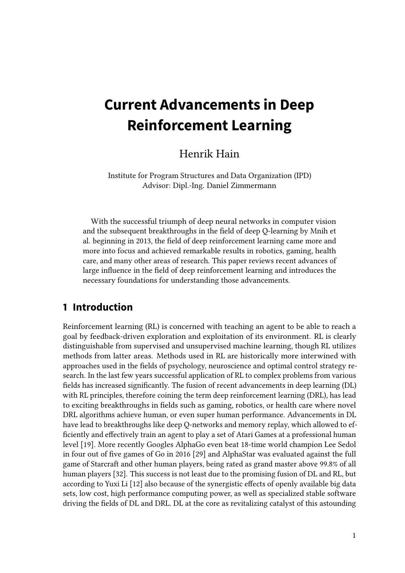# **Current Advancements in Deep Reinforcement Learning**

# Henrik Hain

Institute for Program Structures and Data Organization (IPD) Advisor: Dipl.-Ing. Daniel Zimmermann

With the successful triumph of deep neural networks in computer vision and the subsequent breakthroughs in the field of deep Q-learning by Mnih et al. beginning in 2013, the field of deep reinforcement learning came more and more into focus and achieved remarkable results in robotics, gaming, health care, and many other areas of research. This paper reviews recent advances of large influence in the field of deep reinforcement learning and introduces the necessary foundations for understanding those advancements.

# **1 Introduction**

Reinforcement learning (RL) is concerned with teaching an agent to be able to reach a goal by feedback-driven exploration and exploitation of its environment. RL is clearly distinguishable from supervised and unsupervised machine learning, though RL utilizes methods from latter areas. Methods used in RL are historically more interwined with approaches used in the fields of psychology, neuroscience and optimal control strategy research. In the last few years successful application of RL to complex problems from various fields has increased significantly. The fusion of recent advancements in deep learning (DL) with RL principles, therefore coining the term deep reinforcement learning (DRL), has lead to exciting breakthroughs in fields such as gaming, robotics, or health care where novel DRL algorithms achieve human, or even super human performance. Advancements in DL have lead to breakthroughs like deep Q-networks and memory replay, which allowed to ef ficiently and effectively train an agent to play a set of Atari Games at a professional human level [\[19\]](#page-18-0). More recently Googles AlphaGo even beat 18-time world champion Lee Sedol in four out of five games of Go in 2016 [\[29\]](#page-19-0) and AlphaStar was evaluated against the full game of Starcraft and other human players, being rated as grand master above 99.8% of all human players [\[32\]](#page-19-1). This success is not least due to the promising fusion of DL and RL, but according to Yuxi Li [\[12\]](#page-17-0) also because of the synergistic effects of openly available big data sets, low cost, high performance computing power, as well as specialized stable software driving the fields of DL and DRL. DL at the core as revitalizing catalyst of this astounding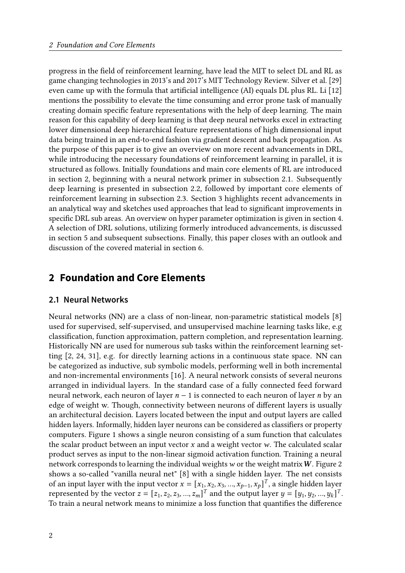progress in the field of reinforcement learning, have lead the MIT to select DL and RL as game changing technologies in 2013's and 2017's MIT Technology Review. Silver et al. [\[29\]](#page-19-0) even came up with the formula that artificial intelligence (AI) equals DL plus RL. Li [\[12\]](#page-17-0) mentions the possibility to elevate the time consuming and error prone task of manually creating domain specific feature representations with the help of deep learning. The main reason for this capability of deep learning is that deep neural networks excel in extracting lower dimensional deep hierarchical feature representations of high dimensional input data being trained in an end-to-end fashion via gradient descent and back propagation. As the purpose of this paper is to give an overview on more recent advancements in DRL, while introducing the necessary foundations of reinforcement learning in parallel, it is structured as follows. Initially foundations and main core elements of RL are introduced in section [2,](#page-1-0) beginning with a neural network primer in subsection [2.1.](#page-1-1) Subsequently deep learning is presented in subsection [2.2,](#page-3-0) followed by important core elements of reinforcement learning in subsection [2.3.](#page-5-0) Section [3](#page-8-0) highlights recent advancements in an analytical way and sketches used approaches that lead to significant improvements in specific DRL sub areas. An overview on hyper parameter optimization is given in section [4.](#page-13-0) A selection of DRL solutions, utilizing formerly introduced advancements, is discussed in section [5](#page-14-0) and subsequent subsections. Finally, this paper closes with an outlook and discussion of the covered material in section [6.](#page-16-0)

# <span id="page-1-0"></span>**2 Foundation and Core Elements**

#### <span id="page-1-1"></span>**2.1 Neural Networks**

Neural networks (NN) are a class of non-linear, non-parametric statistical models [\[8\]](#page-17-1) used for supervised, self-supervised, and unsupervised machine learning tasks like, e.g classification, function approximation, pattern completion, and representation learning. Historically NN are used for numerous sub tasks within the reinforcement learning setting [\[2,](#page-17-2) [24,](#page-18-1) [31\]](#page-19-2), e.g. for directly learning actions in a continuous state space. NN can be categorized as inductive, sub symbolic models, performing well in both incremental and non-incremental environments [\[16\]](#page-18-2). A neural network consists of several neurons arranged in individual layers. In the standard case of a fully connected feed forward neural network, each neuron of layer  $n - 1$  is connected to each neuron of layer *n* by an edge of weight w. Though, connectivity between neurons of different layers is usually an architectural decision. Layers located between the input and output layers are called hidden layers. Informally, hidden layer neurons can be considered as classifiers or property computers. Figure [1](#page-2-0) shows a single neuron consisting of a sum function that calculates the scalar product between an input vector  $x$  and a weight vector  $w$ . The calculated scalar product serves as input to the non-linear sigmoid activation function. Training a neural network corresponds to learning the individual weights  $w$  or the weight matrix  $W$ . Figure [2](#page-2-1) shows a so-called "vanilla neural net" [\[8\]](#page-17-1) with a single hidden layer. The net consists of an input layer with the input vector  $x = [x_1, x_2, x_3, ..., x_{p-1}, x_p]^T$ , a single hidden layer represented by the vector  $z = [z_1, z_2, z_3, ..., z_m]^T$  and the output layer  $y = [y_1, y_2, ..., y_k]^T$ . To train a neural network means to minimize a loss function that quantifies the difference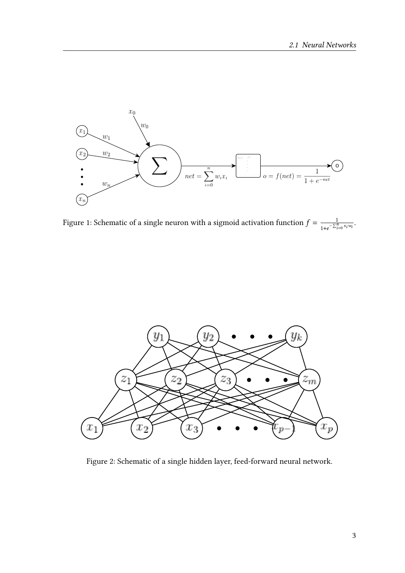<span id="page-2-0"></span>

Figure 1: Schematic of a single neuron with a sigmoid activation function  $f = \frac{1}{e^{\gamma r}}$  $\frac{1}{1+e^{-\sum_{i=0}^{n} x_i w_i}}.$ 

<span id="page-2-1"></span>

Figure 2: Schematic of a single hidden layer, feed-forward neural network.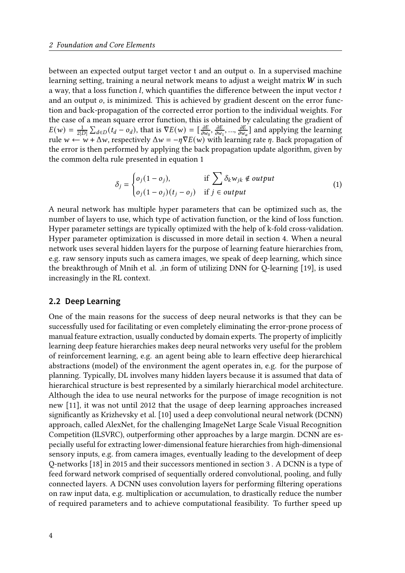between an expected output target vector t and an output o. In a supervised machine learning setting, training a neural network means to adjust a weight matrix  $W$  in such a way, that a loss function  $l$ , which quantifies the difference between the input vector  $t$ and an output *o*, is minimized. This is achieved by gradient descent on the error function and back-propagation of the corrected error portion to the individual weights. For the case of a mean square error function, this is obtained by calculating the gradient of  $E(w) = \frac{1}{2\pi}$  $\frac{1}{2|D|}\sum_{d\in D} (t_d - o_d)$ , that is  $\nabla E(w) = \left[\frac{\partial E}{\partial w}\right]$  $\frac{\partial E}{\partial w_0}, \frac{\partial E}{\partial w}$  $\frac{\partial E}{\partial w_1}, \dots, \frac{\partial E}{\partial w_n}$  $\frac{\partial E}{\partial w_a}$ ] and applying the learning rule  $w \leftarrow w + \Delta w$ , respectively  $\Delta w = -\eta \nabla E(w)$  with learning rate  $\eta$ . Back propagation of the error is then performed by applying the back propagation update algorithm, given by the common delta rule presented in equation [1](#page-3-1)

<span id="page-3-1"></span>
$$
\delta_j = \begin{cases} o_j(1 - o_j), & \text{if } \sum \delta_k w_{jk} \notin output \\ o_j(1 - o_j)(t_j - o_j) & \text{if } j \in output \end{cases} \tag{1}
$$

A neural network has multiple hyper parameters that can be optimized such as, the number of layers to use, which type of activation function, or the kind of loss function. Hyper parameter settings are typically optimized with the help of k-fold cross-validation. Hyper parameter optimization is discussed in more detail in section [4.](#page-13-0) When a neural network uses several hidden layers for the purpose of learning feature hierarchies from, e.g. raw sensory inputs such as camera images, we speak of deep learning, which since the breakthrough of Mnih et al. ,in form of utilizing DNN for Q-learning [\[19\]](#page-18-0), is used increasingly in the RL context.

#### <span id="page-3-0"></span>**2.2 Deep Learning**

One of the main reasons for the success of deep neural networks is that they can be successfully used for facilitating or even completely eliminating the error-prone process of manual feature extraction, usually conducted by domain experts. The property of implicitly learning deep feature hierarchies makes deep neural networks very useful for the problem of reinforcement learning, e.g. an agent being able to learn effective deep hierarchical abstractions (model) of the environment the agent operates in, e.g. for the purpose of planning. Typically, DL involves many hidden layers because it is assumed that data of hierarchical structure is best represented by a similarly hierarchical model architecture. Although the idea to use neural networks for the purpose of image recognition is not new [\[11\]](#page-17-3), it was not until 2012 that the usage of deep learning approaches increased signicantly as Krizhevsky et al. [\[10\]](#page-17-4) used a deep convolutional neural network (DCNN) approach, called AlexNet, for the challenging ImageNet Large Scale Visual Recognition Competition (ILSVRC), outperforming other approaches by a large margin. DCNN are especially useful for extracting lower-dimensional feature hierarchies from high-dimensional sensory inputs, e.g. from camera images, eventually leading to the development of deep Q-networks [\[18\]](#page-18-3) in 2015 and their successors mentioned in section [3](#page-8-0) . A DCNN is a type of feed forward network comprised of sequentially ordered convolutional, pooling, and fully connected layers. A DCNN uses convolution layers for performing ltering operations on raw input data, e.g. multiplication or accumulation, to drastically reduce the number of required parameters and to achieve computational feasibility. To further speed up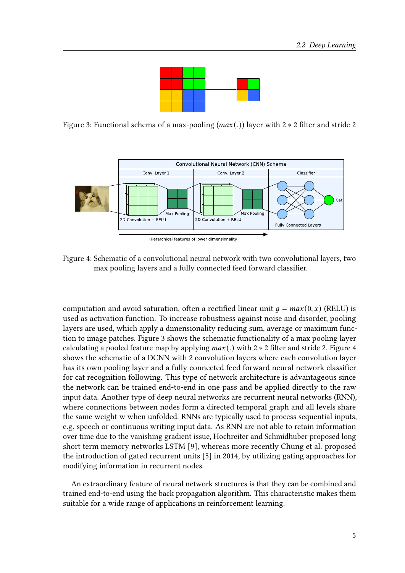

<span id="page-4-0"></span>Figure 3: Functional schema of a max-pooling ( $max(.)$ ) layer with 2  $*$  2 filter and stride 2

<span id="page-4-1"></span>

Hierarchical features of lower dimensionality

Figure 4: Schematic of a convolutional neural network with two convolutional layers, two max pooling layers and a fully connected feed forward classifier.

computation and avoid saturation, often a rectified linear unit  $q = max(0, x)$  (RELU) is used as activation function. To increase robustness against noise and disorder, pooling layers are used, which apply a dimensionality reducing sum, average or maximum function to image patches. Figure [3](#page-4-0) shows the schematic functionality of a max pooling layer calculating a pooled feature map by applying  $max(.)$  with 2  $*$  2 filter and stride 2. Figure [4](#page-4-1) shows the schematic of a DCNN with 2 convolution layers where each convolution layer has its own pooling layer and a fully connected feed forward neural network classifier for cat recognition following. This type of network architecture is advantageous since the network can be trained end-to-end in one pass and be applied directly to the raw input data. Another type of deep neural networks are recurrent neural networks (RNN), where connections between nodes form a directed temporal graph and all levels share the same weight w when unfolded. RNNs are typically used to process sequential inputs, e.g. speech or continuous writing input data. As RNN are not able to retain information over time due to the vanishing gradient issue, Hochreiter and Schmidhuber proposed long short term memory networks LSTM [\[9\]](#page-17-5), whereas more recently Chung et al. proposed the introduction of gated recurrent units [\[5\]](#page-17-6) in 2014, by utilizing gating approaches for modifying information in recurrent nodes.

An extraordinary feature of neural network structures is that they can be combined and trained end-to-end using the back propagation algorithm. This characteristic makes them suitable for a wide range of applications in reinforcement learning.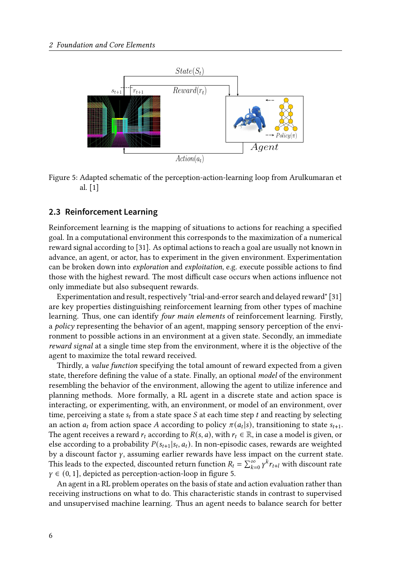<span id="page-5-1"></span>



### <span id="page-5-0"></span>**2.3 Reinforcement Learning**

Reinforcement learning is the mapping of situations to actions for reaching a specified goal. In a computational environment this corresponds to the maximization of a numerical reward signal according to [\[31\]](#page-19-2). As optimal actions to reach a goal are usually not known in advance, an agent, or actor, has to experiment in the given environment. Experimentation can be broken down into *exploration* and *exploitation*, e.g. execute possible actions to find those with the highest reward. The most difficult case occurs when actions influence not only immediate but also subsequent rewards.

Experimentation and result, respectively "trial-and-error search and delayed reward" [\[31\]](#page-19-2) are key properties distinguishing reinforcement learning from other types of machine learning. Thus, one can identify four main elements of reinforcement learning. Firstly, a policy representing the behavior of an agent, mapping sensory perception of the environment to possible actions in an environment at a given state. Secondly, an immediate reward signal at a single time step from the environment, where it is the objective of the agent to maximize the total reward received.

Thirdly, a *value function* specifying the total amount of reward expected from a given state, therefore defining the value of a state. Finally, an optional *model* of the environment resembling the behavior of the environment, allowing the agent to utilize inference and planning methods. More formally, a RL agent in a discrete state and action space is interacting, or experimenting, with, an environment, or model of an environment, over time, perceiving a state  $s_t$  from a state space S at each time step t and reacting by selecting an action  $a_t$  from action space A according to policy  $\pi(a_t|s)$ , transitioning to state  $s_{t+1}$ . The agent receives a reward  $r_t$  according to  $R(s, a)$ , with  $r_t \in \mathbb{R}$ , in case a model is given, or else according to a probability  $P(s_{t+1}|s_t, a_t)$ . In non-episodic cases, rewards are weighted by a discount factor  $\gamma$ , assuming earlier rewards have less impact on the current state. This leads to the expected, discounted return function  $R_t = \sum_{k=0}^{\infty} \gamma^k r_{t+l}$  with discount rate  $\gamma \in (0, 1]$ , depicted as perception-action-loop in figure [5.](#page-5-1)

An agent in a RL problem operates on the basis of state and action evaluation rather than receiving instructions on what to do. This characteristic stands in contrast to supervised and unsupervised machine learning. Thus an agent needs to balance search for better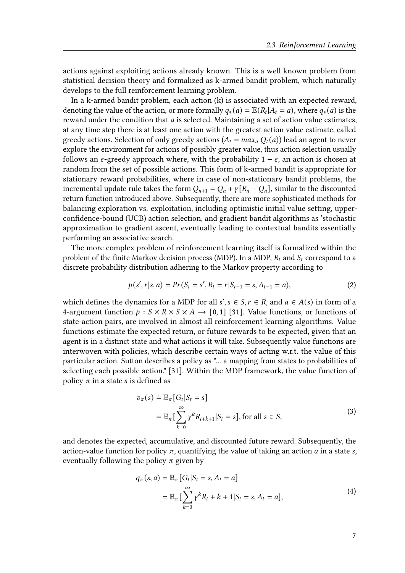actions against exploiting actions already known. This is a well known problem from statistical decision theory and formalized as k-armed bandit problem, which naturally develops to the full reinforcement learning problem.

In a k-armed bandit problem, each action (k) is associated with an expected reward, denoting the value of the action, or more formally  $q_*(a) = \mathbb{E}(R_t | A_t = a)$ , where  $q_*(a)$  is the reward under the condition that  $a$  is selected. Maintaining a set of action value estimates, at any time step there is at least one action with the greatest action value estimate, called greedy actions. Selection of only greedy actions ( $A_t = max_a Q_t(a)$ ) lead an agent to never explore the environment for actions of possibly greater value, thus action selection usually follows an  $\epsilon$ -greedy approach where, with the probability 1 –  $\epsilon$ , an action is chosen at random from the set of possible actions. This form of k-armed bandit is appropriate for stationary reward probabilities, where in case of non-stationary bandit problems, the incremental update rule takes the form  $Q_{n+1} = Q_n + \gamma [R_n - Q_n]$ , similar to the discounted return function introduced above. Subsequently, there are more sophisticated methods for balancing exploration vs. exploitation, including optimistic initial value setting, upperconfidence-bound (UCB) action selection, and gradient bandit algorithms as 'stochastic approximation to gradient ascent, eventually leading to contextual bandits essentially performing an associative search.

The more complex problem of reinforcement learning itself is formalized within the problem of the finite Markov decision process (MDP). In a MDP,  $R_t$  and  $S_t$  correspond to a discrete probability distribution adhering to the Markov property according to

$$
p(s', r|s, a) = Pr(S_t = s', R_t = r|S_{t-1} = s, A_{t-1} = a),
$$
\n(2)

which defines the dynamics for a MDP for all  $s', s \in S, r \in R$ , and  $a \in A(s)$  in form of a 4-argument function  $p : S \times R \times S \times A \rightarrow [0, 1]$  [\[31\]](#page-19-2). Value functions, or functions of state-action pairs, are involved in almost all reinforcement learning algorithms. Value functions estimate the expected return, or future rewards to be expected, given that an agent is in a distinct state and what actions it will take. Subsequently value functions are interwoven with policies, which describe certain ways of acting w.r.t. the value of this particular action. Sutton describes a policy as "... a mapping from states to probabilities of selecting each possible action." [\[31\]](#page-19-2). Within the MDP framework, the value function of policy  $\pi$  in a state s is defined as

$$
v_{\pi}(s) \doteq \mathbb{E}_{\pi} [G_t | S_t = s]
$$
  
= 
$$
\mathbb{E}_{\pi} \left[ \sum_{k=0}^{\infty} \gamma^k R_{t+k+1} | S_t = s \right], \text{for all } s \in S,
$$
 (3)

and denotes the expected, accumulative, and discounted future reward. Subsequently, the action-value function for policy  $\pi$ , quantifying the value of taking an action *a* in a state *s*, eventually following the policy  $\pi$  given by

$$
q_{\pi}(s, a) \doteq \mathbb{E}_{\pi} [G_t | S_t = s, A_t = a]
$$
  
=  $\mathbb{E}_{\pi} \left[ \sum_{k=0}^{\infty} \gamma^k R_t + k + 1 | S_t = s, A_t = a \right],$  (4)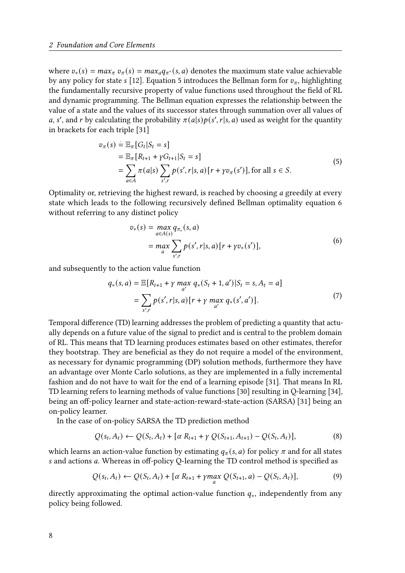where  $v_*(s) = max_{\pi} v_{\pi}(s) = max_{\pi} q_{\pi^*}(s, a)$  denotes the maximum state value achievable by any policy for state s [\[12\]](#page-17-0). Equation [5](#page-7-0) introduces the Bellman form for  $v_{\pi}$ , highlighting the fundamentally recursive property of value functions used throughout the field of RL and dynamic programming. The Bellman equation expresses the relationship between the value of a state and the values of its successor states through summation over all values of a, s', and r by calculating the probability  $\pi(a|s)p(s',r|s,a)$  used as weight for the quantity in brackets for each triple [\[31\]](#page-19-2)

$$
v_{\pi}(s) \doteq \mathbb{E}_{\pi} [G_t | S_t = s]
$$
  
=  $\mathbb{E}_{\pi} [R_{t+1} + \gamma G_{t+1} | S_t = s]$   
=  $\sum_{a \in A} \pi(a|s) \sum_{s',r} p(s',r|s,a) [r + \gamma v_{\pi}(s')]$ , for all  $s \in S$ . (5)

<span id="page-7-0"></span>Optimality or, retrieving the highest reward, is reached by choosing  $a$  greedily at every state which leads to the following recursively defined Bellman optimality equation [6](#page-7-1) without referring to any distinct policy

$$
v_*(s) = \max_{a \in A(s)} q_{\pi_*}(s, a)
$$
  
= 
$$
\max_a \sum_{s',r} p(s',r|s,a) [r + \gamma v_*(s')],
$$
 (6)

<span id="page-7-1"></span>and subsequently to the action value function

$$
q_*(s, a) = \mathbb{E}[R_{t+1} + \gamma \max_{a'} q_*(S_t + 1, a') | S_t = s, A_t = a]
$$
  
= 
$$
\sum_{s', r} p(s', r | s, a) [r + \gamma \max_{a'} q_*(s', a')].
$$
 (7)

Temporal difference (TD) learning addresses the problem of predicting a quantity that actually depends on a future value of the signal to predict and is central to the problem domain of RL. This means that TD learning produces estimates based on other estimates, therefor they bootstrap. They are beneficial as they do not require a model of the environment, as necessary for dynamic programming (DP) solution methods, furthermore they have an advantage over Monte Carlo solutions, as they are implemented in a fully incremental fashion and do not have to wait for the end of a learning episode [\[31\]](#page-19-2). That means In RL TD learning refers to learning methods of value functions [\[30\]](#page-19-3) resulting in Q-learning [\[34\]](#page-19-4), being an off-policy learner and state-action-reward-state-action (SARSA) [\[31\]](#page-19-2) being an on-policy learner.

In the case of on-policy SARSA the TD prediction method

$$
Q(s_t, A_t) \leftarrow Q(S_t, A_t) + [\alpha R_{t+1} + \gamma Q(S_{t+1}, A_{t+1}) - Q(S_t, A_t)],
$$
\n(8)

which learns an action-value function by estimating  $q_{\pi}(s, a)$  for policy  $\pi$  and for all states s and actions *a*. Whereas in off-policy Q-learning the TD control method is specified as

$$
Q(s_t, A_t) \leftarrow Q(s_t, A_t) + [\alpha R_{t+1} + \gamma \max_{a} Q(s_{t+1}, a) - Q(s_t, A_t)],
$$
\n(9)

directly approximating the optimal action-value function  $q_*$ , independently from any policy being followed.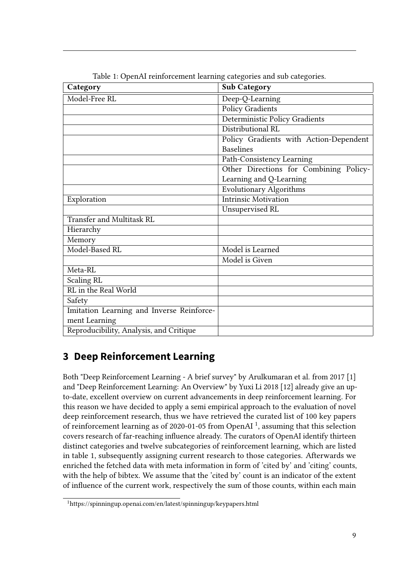<span id="page-8-2"></span>

| Category                                  | <b>Sub Category</b>                    |
|-------------------------------------------|----------------------------------------|
| Model-Free RL                             | Deep-Q-Learning                        |
|                                           | <b>Policy Gradients</b>                |
|                                           | Deterministic Policy Gradients         |
|                                           | Distributional RL                      |
|                                           | Policy Gradients with Action-Dependent |
|                                           | <b>Baselines</b>                       |
|                                           | Path-Consistency Learning              |
|                                           | Other Directions for Combining Policy- |
|                                           | Learning and Q-Learning                |
|                                           | <b>Evolutionary Algorithms</b>         |
| Exploration                               | <b>Intrinsic Motivation</b>            |
|                                           | Unsupervised RL                        |
| <b>Transfer and Multitask RL</b>          |                                        |
| Hierarchy                                 |                                        |
| Memory                                    |                                        |
| Model-Based RL                            | Model is Learned                       |
|                                           | Model is Given                         |
| Meta-RL                                   |                                        |
| <b>Scaling RL</b>                         |                                        |
| RL in the Real World                      |                                        |
| Safety                                    |                                        |
| Imitation Learning and Inverse Reinforce- |                                        |
| ment Learning                             |                                        |
| Reproducibility, Analysis, and Critique   |                                        |

Table 1: OpenAI reinforcement learning categories and sub categories.

# <span id="page-8-0"></span>**3 Deep Reinforcement Learning**

Both "Deep Reinforcement Learning - A brief survey" by Arulkumaran et al. from 2017 [\[1\]](#page-17-7) and "Deep Reinforcement Learning: An Overview" by Yuxi Li 2018 [\[12\]](#page-17-0) already give an upto-date, excellent overview on current advancements in deep reinforcement learning. For this reason we have decided to apply a semi empirical approach to the evaluation of novel deep reinforcement research, thus we have retrieved the curated list of 100 key papers of reinforcement learning as of 2020-0[1](#page-8-1)-05 from OpenAI<sup>1</sup>, assuming that this selection covers research of far-reaching influence already. The curators of OpenAI identify thirteen distinct categories and twelve subcategories of reinforcement learning, which are listed in table [1,](#page-8-2) subsequently assigning current research to those categories. Afterwards we enriched the fetched data with meta information in form of 'cited by' and 'citing' counts, with the help of bibtex. We assume that the 'cited by' count is an indicator of the extent of influence of the current work, respectively the sum of those counts, within each main

<span id="page-8-1"></span><sup>1</sup>https://spinningup.openai.com/en/latest/spinningup/keypapers.html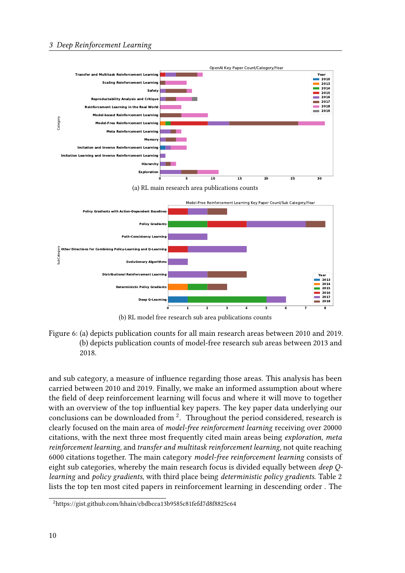

(b) RL model free research sub area publications counts

Figure 6: (a) depicts publication counts for all main research areas between 2010 and 2019. (b) depicts publication counts of model-free research sub areas between 2013 and 2018.

and sub category, a measure of influence regarding those areas. This analysis has been carried between 2010 and 2019. Finally, we make an informed assumption about where the field of deep reinforcement learning will focus and where it will move to together with an overview of the top influential key papers. The key paper data underlying our conclusions can be downloaded from  $\frac{2}{3}$  $\frac{2}{3}$  $\frac{2}{3}$ . Throughout the period considered, research is clearly focused on the main area of model-free reinforcement learning receiving over 20000 citations, with the next three most frequently cited main areas being exploration, meta reinforcement learning, and transfer and multitask reinforcement learning, not quite reaching 6000 citations together. The main category model-free reinforcement learning consists of eight sub categories, whereby the main research focus is divided equally between deep Q-learning and policy gradients, with third place being deterministic policy gradients. Table [2](#page-10-0) lists the top ten most cited papers in reinforcement learning in descending order . The

<span id="page-9-0"></span><sup>2</sup>https://gist.github.com/hhain/cbdbcca13b9585c81fefd7d8f8825c64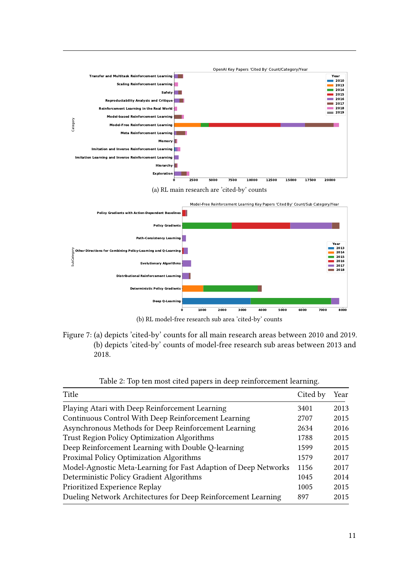

(b) RL model-free research sub area 'cited-by' counts

Figure 7: (a) depicts 'cited-by' counts for all main research areas between 2010 and 2019. (b) depicts 'cited-by' counts of model-free research sub areas between 2013 and 2018.

<span id="page-10-0"></span>

| Title                                                           | Cited by | Year |
|-----------------------------------------------------------------|----------|------|
| Playing Atari with Deep Reinforcement Learning                  |          | 2013 |
| Continuous Control With Deep Reinforcement Learning             |          | 2015 |
| Asynchronous Methods for Deep Reinforcement Learning            |          | 2016 |
| Trust Region Policy Optimization Algorithms                     |          | 2015 |
| Deep Reinforcement Learning with Double Q-learning              |          | 2015 |
| Proximal Policy Optimization Algorithms                         |          | 2017 |
| Model-Agnostic Meta-Learning for Fast Adaption of Deep Networks |          | 2017 |
| Deterministic Policy Gradient Algorithms                        |          | 2014 |
| Prioritized Experience Replay                                   |          | 2015 |
| Dueling Network Architectures for Deep Reinforcement Learning   |          | 2015 |

Table 2: Top ten most cited papers in deep reinforcement learning.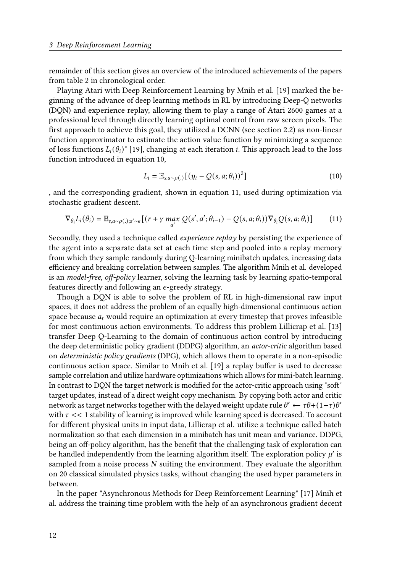remainder of this section gives an overview of the introduced achievements of the papers from table [2](#page-10-0) in chronological order.

Playing Atari with Deep Reinforcement Learning by Mnih et al. [\[19\]](#page-18-0) marked the beginning of the advance of deep learning methods in RL by introducing Deep-Q networks (DQN) and experience replay, allowing them to play a range of Atari 2600 games at a professional level through directly learning optimal control from raw screen pixels. The first approach to achieve this goal, they utilized a DCNN (see section [2.2\)](#page-3-0) as non-linear function approximator to estimate the action value function by minimizing a sequence of loss functions  $L_i(\theta_i)$ " [\[19\]](#page-18-0), changing at each iteration *i*. This approach lead to the loss function introduced in equation [10,](#page-11-0)

<span id="page-11-0"></span>
$$
L_i = \mathbb{E}_{s, a \sim \rho(.)} [(y_i - Q(s, a; \theta_i))^2]
$$
\n(10)

, and the corresponding gradient, shown in equation [11,](#page-11-1) used during optimization via stochastic gradient descent.

<span id="page-11-1"></span>
$$
\nabla_{\theta_i} L_i(\theta_i) = \mathbb{E}_{s, a \sim \rho(.); s' \sim \epsilon} \left[ \left( r + \gamma \max_{a'} Q(s', a'; \theta_{i-1}) - Q(s, a; \theta_i) \right) \nabla_{\theta_i} Q(s, a; \theta_i) \right] \tag{11}
$$

Secondly, they used a technique called *experience replay* by persisting the experience of the agent into a separate data set at each time step and pooled into a replay memory from which they sample randomly during Q-learning minibatch updates, increasing data efficiency and breaking correlation between samples. The algorithm Mnih et al. developed is an model-free, off-policy learner, solving the learning task by learning spatio-temporal features directly and following an  $\epsilon$ -greedy strategy.

Though a DQN is able to solve the problem of RL in high-dimensional raw input spaces, it does not address the problem of an equally high-dimensional continuous action space because  $a_t$  would require an optimization at every timestep that proves infeasible for most continuous action environments. To address this problem Lillicrap et al. [\[13\]](#page-17-8) transfer Deep Q-Learning to the domain of continuous action control by introducing the deep deterministic policy gradient (DDPG) algorithm, an actor-critic algorithm based on deterministic policy gradients (DPG), which allows them to operate in a non-episodic continuous action space. Similar to Mnih et al.  $[19]$  a replay buffer is used to decrease sample correlation and utilize hardware optimizations which allows for mini-batch learning. In contrast to DQN the target network is modified for the actor-critic approach using "soft" target updates, instead of a direct weight copy mechanism. By copying both actor and critic network as target networks together with the delayed weight update rule  $\theta' \leftarrow \tau \theta + (1-\tau)\theta'$ with  $\tau \ll 1$  stability of learning is improved while learning speed is decreased. To account for different physical units in input data, Lillicrap et al. utilize a technique called batch normalization so that each dimension in a minibatch has unit mean and variance. DDPG, being an off-policy algorithm, has the benefit that the challenging task of exploration can be handled independently from the learning algorithm itself. The exploration policy  $u'$  is sampled from a noise process  $N$  suiting the environment. They evaluate the algorithm on 20 classical simulated physics tasks, without changing the used hyper parameters in between.

In the paper "Asynchronous Methods for Deep Reinforcement Learning" [\[17\]](#page-18-4) Mnih et al. address the training time problem with the help of an asynchronous gradient decent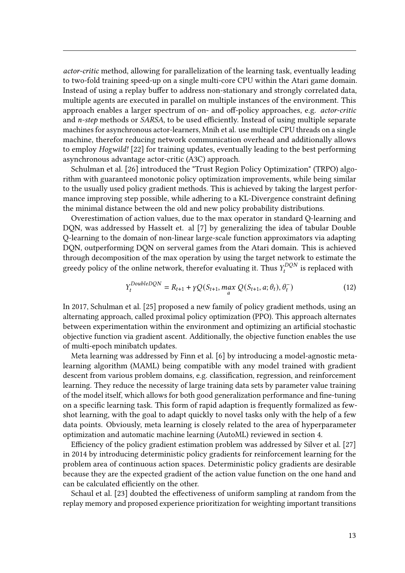actor-critic method, allowing for parallelization of the learning task, eventually leading to two-fold training speed-up on a single multi-core CPU within the Atari game domain. Instead of using a replay buffer to address non-stationary and strongly correlated data, multiple agents are executed in parallel on multiple instances of the environment. This approach enables a larger spectrum of on- and off-policy approaches, e.g. *actor-critic* and  $n$ -step methods or SARSA, to be used efficiently. Instead of using multiple separate machines for asynchronous actor-learners, Mnih et al. use multiple CPU threads on a single machine, therefor reducing network communication overhead and additionally allows to employ Hogwild! [\[22\]](#page-18-5) for training updates, eventually leading to the best performing asynchronous advantage actor-critic (A3C) approach.

Schulman et al. [\[26\]](#page-18-6) introduced the "Trust Region Policy Optimization" (TRPO) algorithm with guaranteed monotonic policy optimization improvements, while being similar to the usually used policy gradient methods. This is achieved by taking the largest performance improving step possible, while adhering to a KL-Divergence constraint defining the minimal distance between the old and new policy probability distributions.

Overestimation of action values, due to the max operator in standard Q-learning and DQN, was addressed by Hasselt et. al [\[7\]](#page-17-9) by generalizing the idea of tabular Double Q-learning to the domain of non-linear large-scale function approximators via adapting DQN, outperforming DQN on serveral games from the Atari domain. This is achieved through decomposition of the max operation by using the target network to estimate the greedy policy of the online network, therefor evaluating it. Thus  $Y_t^{DQN}$  $\sigma_t^{DQN}$  is replaced with

$$
Y_t^{DoubleDQN} = R_{t+1} + \gamma Q(S_{t+1}, \max_{a} Q(S_{t+1}, a; \theta_t), \theta_t^{-})
$$
(12)

In 2017, Schulman et al. [\[25\]](#page-18-7) proposed a new family of policy gradient methods, using an alternating approach, called proximal policy optimization (PPO). This approach alternates between experimentation within the environment and optimizing an artificial stochastic objective function via gradient ascent. Additionally, the objective function enables the use of multi-epoch minibatch updates.

Meta learning was addressed by Finn et al. [\[6\]](#page-17-10) by introducing a model-agnostic metalearning algorithm (MAML) being compatible with any model trained with gradient descent from various problem domains, e.g. classification, regression, and reinforcement learning. They reduce the necessity of large training data sets by parameter value training of the model itself, which allows for both good generalization performance and fine-tuning on a specific learning task. This form of rapid adaption is frequently formalized as fewshot learning, with the goal to adapt quickly to novel tasks only with the help of a few data points. Obviously, meta learning is closely related to the area of hyperparameter optimization and automatic machine learning (AutoML) reviewed in section [4.](#page-13-0)

Efficiency of the policy gradient estimation problem was addressed by Silver et al. [\[27\]](#page-18-8) in 2014 by introducing deterministic policy gradients for reinforcement learning for the problem area of continuous action spaces. Deterministic policy gradients are desirable because they are the expected gradient of the action value function on the one hand and can be calculated efficiently on the other.

Schaul et al. [\[23\]](#page-18-9) doubted the effectiveness of uniform sampling at random from the replay memory and proposed experience prioritization for weighting important transitions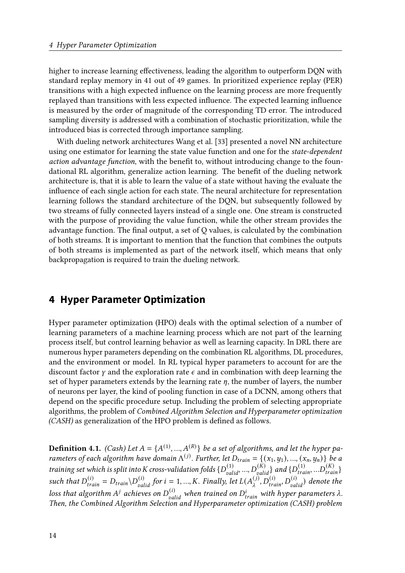higher to increase learning effectiveness, leading the algorithm to outperform DQN with standard replay memory in 41 out of 49 games. In prioritized experience replay (PER) transitions with a high expected influence on the learning process are more frequently replayed than transitions with less expected influence. The expected learning influence is measured by the order of magnitude of the corresponding TD error. The introduced sampling diversity is addressed with a combination of stochastic prioritization, while the introduced bias is corrected through importance sampling.

With dueling network architectures Wang et al. [\[33\]](#page-19-5) presented a novel NN architecture using one estimator for learning the state value function and one for the *state-dependent* action advantage function, with the benefit to, without introducing change to the foundational RL algorithm, generalize action learning. The benefit of the dueling network architecture is, that it is able to learn the value of a state without having the evaluate the influence of each single action for each state. The neural architecture for representation learning follows the standard architecture of the DQN, but subsequently followed by two streams of fully connected layers instead of a single one. One stream is constructed with the purpose of providing the value function, while the other stream provides the advantage function. The final output, a set of  $Q$  values, is calculated by the combination of both streams. It is important to mention that the function that combines the outputs of both streams is implemented as part of the network itself, which means that only backpropagation is required to train the dueling network.

## <span id="page-13-0"></span>**4 Hyper Parameter Optimization**

Hyper parameter optimization (HPO) deals with the optimal selection of a number of learning parameters of a machine learning process which are not part of the learning process itself, but control learning behavior as well as learning capacity. In DRL there are numerous hyper parameters depending on the combination RL algorithms, DL procedures, and the environment or model. In RL typical hyper parameters to account for are the discount factor  $\gamma$  and the exploration rate  $\epsilon$  and in combination with deep learning the set of hyper parameters extends by the learning rate  $\eta$ , the number of layers, the number of neurons per layer, the kind of pooling function in case of a DCNN, among others that depend on the specific procedure setup. Including the problem of selecting appropriate algorithms, the problem of Combined Algorithm Selection and Hyperparameter optimization  $(CASH)$  as generalization of the HPO problem is defined as follows.

**Definition 4.1.** (Cash) Let  $A = \{A^{(1)}, ..., A^{(R)}\}$  be a set of algorithms, and let the hyper parameters of each algorithm have domain  $\Lambda^{(j)}$ . Further, let  $D_{train} = \{(x_1, y_1), ..., (x_n, y_n)\}$  be a training set which is split into K cross-validation folds  $\{D_{valid}^{(1)},...,D_{valid}^{(K)}\}$  and  $\{D_{train}^{(1)},...,D_{train}^{(K)}\}$ such that  $D_{train}^{(i)} = D_{train} \setminus D_{valid}^{(i)}$  for  $i = 1, ..., K$ . Finally, let  $L(A_{\lambda}^{(j)})$  $\sum_{\lambda}^{(j)}$ ,  $D_{train}^{(i)}$ ,  $D_{valid}^{(i)}$ ) denote the loss that algorithm  $A^j$  achieves on  $D_{valid}^{(i)}$  when trained on  $D_{train}^i$  with hyper parameters  $\lambda$ . Then, the Combined Algorithm Selection and Hyperparameter optimization (CASH) problem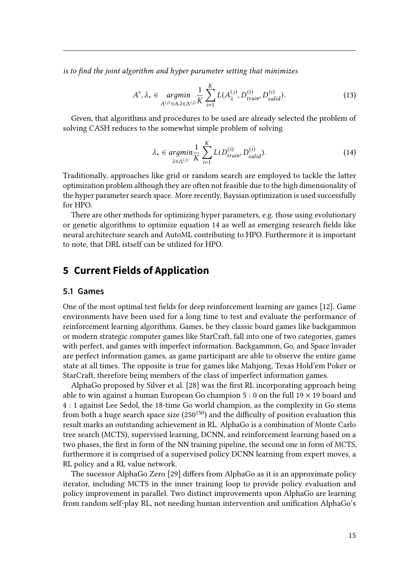is to find the joint algorithm and hyper parameter setting that minimizes

$$
A^*, \lambda_* \in \underset{A^{(j)} \in A, \lambda \in \Lambda^{(j)}}{\text{argmin}} \frac{1}{K} \sum_{i=1}^K L(A_{\lambda}^{(j)}, D_{train}^{(i)}, D_{valid}^{(i)}). \tag{13}
$$

Given, that algorithms and procedures to be used are already selected the problem of solving CASH reduces to the somewhat simple problem of solving

<span id="page-14-1"></span>
$$
\lambda_* \in \underset{\lambda \in \Lambda^{(j)}}{\operatorname{argmin}} \frac{1}{K} \sum_{i=1}^K L(D_{train}^{(i)}, D_{valid}^{(i)}). \tag{14}
$$

Traditionally, approaches like grid or random search are employed to tackle the latter optimization problem although they are often not feasible due to the high dimensionality of the hyper parameter search space. More recently, Baysian optimization is used successfully for HPO.

There are other methods for optimizing hyper parameters, e.g. those using evolutionary or genetic algorithms to optimize equation [14](#page-14-1) as well as emerging research fields like neural architecture search and AutoML contributing to HPO. Furthermore it is important to note, that DRL istself can be utilized for HPO.

## <span id="page-14-0"></span>**5 Current Fields of Application**

#### **5.1 Games**

One of the most optimal test fields for deep reinforcement learning are games [\[12\]](#page-17-0). Game environments have been used for a long time to test and evaluate the performance of reinforcement learning algorithms. Games, be they classic board games like backgammon or modern strategic computer games like StarCraft, fall into one of two categories, games with perfect, and games with imperfect information. Backgammon, Go, and Space Invader are perfect information games, as game participant are able to observe the entire game state at all times. The opposite is true for games like Mahjong, Texas Hold'em Poker or StarCraft, therefore being members of the class of imperfect information games.

AlphaGo proposed by Silver et al. [\[28\]](#page-19-6) was the first RL incorporating approach being able to win against a human European Go champion 5 : 0 on the full 19  $\times$  19 board and 4 : 1 against Lee Sedol, the 18-time Go world champion, as the complexity in Go stems from both a huge search space size  $(250^{150})$  and the difficulty of position evaluation this result marks an outstanding achievement in RL. AlphaGo is a combination of Monte Carlo tree search (MCTS), supervised learning, DCNN, and reinforcement learning based on a two phases, the first in form of the NN training pipeline, the second one in form of MCTS, furthermore it is comprised of a supervised policy DCNN learning from expert moves, a RL policy and a RL value network.

The sucessor AlphaGo Zero [\[29\]](#page-19-0) differs from AlphaGo as it is an approximate policy iterator, including MCTS in the inner training loop to provide policy evaluation and policy improvement in parallel. Two distinct improvements upon AlphaGo are learning from random self-play RL, not needing human intervention and unification AlphaGo's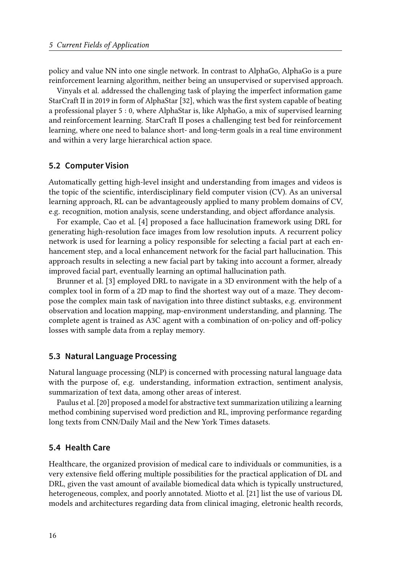policy and value NN into one single network. In contrast to AlphaGo, AlphaGo is a pure reinforcement learning algorithm, neither being an unsupervised or supervised approach.

Vinyals et al. addressed the challenging task of playing the imperfect information game StarCraft II in 2019 in form of AlphaStar [\[32\]](#page-19-1), which was the first system capable of beating a professional player 5 : 0, where AlphaStar is, like AlphaGo, a mix of supervised learning and reinforcement learning. StarCraft II poses a challenging test bed for reinforcement learning, where one need to balance short- and long-term goals in a real time environment and within a very large hierarchical action space.

#### **5.2 Computer Vision**

Automatically getting high-level insight and understanding from images and videos is the topic of the scientific, interdisciplinary field computer vision  $(CV)$ . As an universal learning approach, RL can be advantageously applied to many problem domains of CV, e.g. recognition, motion analysis, scene understanding, and object affordance analysis.

For example, Cao et al. [\[4\]](#page-17-11) proposed a face hallucination framework using DRL for generating high-resolution face images from low resolution inputs. A recurrent policy network is used for learning a policy responsible for selecting a facial part at each enhancement step, and a local enhancement network for the facial part hallucination. This approach results in selecting a new facial part by taking into account a former, already improved facial part, eventually learning an optimal hallucination path.

Brunner et al. [\[3\]](#page-17-12) employed DRL to navigate in a 3D environment with the help of a complex tool in form of a 2D map to find the shortest way out of a maze. They decompose the complex main task of navigation into three distinct subtasks, e.g. environment observation and location mapping, map-environment understanding, and planning. The complete agent is trained as A3C agent with a combination of on-policy and off-policy losses with sample data from a replay memory.

## **5.3 Natural Language Processing**

Natural language processing (NLP) is concerned with processing natural language data with the purpose of, e.g. understanding, information extraction, sentiment analysis, summarization of text data, among other areas of interest.

Paulus et al. [\[20\]](#page-18-10) proposed a model for abstractive text summarization utilizing a learning method combining supervised word prediction and RL, improving performance regarding long texts from CNN/Daily Mail and the New York Times datasets.

#### **5.4 Health Care**

Healthcare, the organized provision of medical care to individuals or communities, is a very extensive field offering multiple possibilities for the practical application of DL and DRL, given the vast amount of available biomedical data which is typically unstructured, heterogeneous, complex, and poorly annotated. Miotto et al. [\[21\]](#page-18-11) list the use of various DL models and architectures regarding data from clinical imaging, eletronic health records,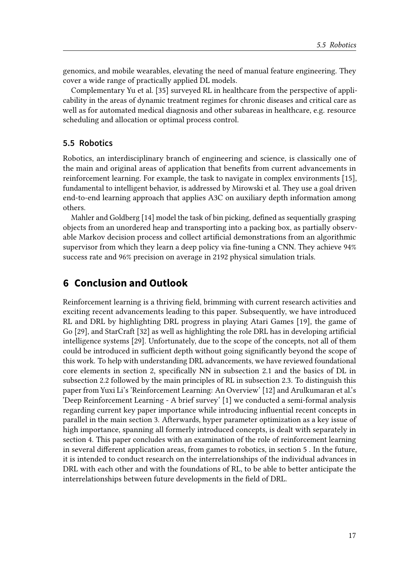genomics, and mobile wearables, elevating the need of manual feature engineering. They cover a wide range of practically applied DL models.

Complementary Yu et al. [\[35\]](#page-19-7) surveyed RL in healthcare from the perspective of applicability in the areas of dynamic treatment regimes for chronic diseases and critical care as well as for automated medical diagnosis and other subareas in healthcare, e.g. resource scheduling and allocation or optimal process control.

## **5.5 Robotics**

Robotics, an interdisciplinary branch of engineering and science, is classically one of the main and original areas of application that benefits from current advancements in reinforcement learning. For example, the task to navigate in complex environments [\[15\]](#page-18-12), fundamental to intelligent behavior, is addressed by Mirowski et al. They use a goal driven end-to-end learning approach that applies A3C on auxiliary depth information among others.

Mahler and Goldberg  $[14]$  model the task of bin picking, defined as sequentially grasping objects from an unordered heap and transporting into a packing box, as partially observable Markov decision process and collect articial demonstrations from an algorithmic supervisor from which they learn a deep policy via fine-tuning a CNN. They achieve 94% success rate and 96% precision on average in 2192 physical simulation trials.

# <span id="page-16-0"></span>**6 Conclusion and Outlook**

Reinforcement learning is a thriving field, brimming with current research activities and exciting recent advancements leading to this paper. Subsequently, we have introduced RL and DRL by highlighting DRL progress in playing Atari Games [\[19\]](#page-18-0), the game of Go [\[29\]](#page-19-0), and StarCraft [\[32\]](#page-19-1) as well as highlighting the role DRL has in developing articial intelligence systems [\[29\]](#page-19-0). Unfortunately, due to the scope of the concepts, not all of them could be introduced in sufficient depth without going significantly beyond the scope of this work. To help with understanding DRL advancements, we have reviewed foundational core elements in section [2,](#page-1-0) specifically NN in subsection [2.1](#page-1-1) and the basics of DL in subsection [2.2](#page-3-0) followed by the main principles of RL in subsection [2.3.](#page-5-0) To distinguish this paper from Yuxi Li's 'Reinforcement Learning: An Overview' [\[12\]](#page-17-0) and Arulkumaran et al.'s 'Deep Reinforcement Learning - A brief survey' [\[1\]](#page-17-7) we conducted a semi-formal analysis regarding current key paper importance while introducing influential recent concepts in parallel in the main section [3.](#page-8-0) Afterwards, hyper parameter optimization as a key issue of high importance, spanning all formerly introduced concepts, is dealt with separately in section [4.](#page-13-0) This paper concludes with an examination of the role of reinforcement learning in several different application areas, from games to robotics, in section [5](#page-14-0). In the future, it is intended to conduct research on the interrelationships of the individual advances in DRL with each other and with the foundations of RL, to be able to better anticipate the interrelationships between future developments in the field of DRL.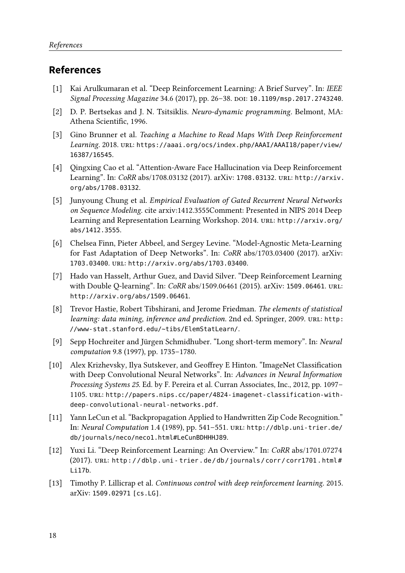# **References**

- <span id="page-17-7"></span>[1] Kai Arulkumaran et al. "Deep Reinforcement Learning: A Brief Survey". In: IEEE Signal Processing Magazine 34.6 (2017), pp. 26-38. DOI: [10.1109/msp.2017.2743240](https://doi.org/10.1109/msp.2017.2743240).
- <span id="page-17-2"></span>[2] D. P. Bertsekas and J. N. Tsitsiklis. Neuro-dynamic programming. Belmont, MA: Athena Scientific, 1996.
- <span id="page-17-12"></span>[3] Gino Brunner et al. Teaching a Machine to Read Maps With Deep Reinforcement Learning. 2018. URL: [https://aaai.org/ocs/index.php/AAAI/AAAI18/paper/view/](https://aaai.org/ocs/index.php/AAAI/AAAI18/paper/view/16387/16545) [16387/16545](https://aaai.org/ocs/index.php/AAAI/AAAI18/paper/view/16387/16545).
- <span id="page-17-11"></span>[4] Qingxing Cao et al. "Attention-Aware Face Hallucination via Deep Reinforcement Learning". In: CoRR abs/1708.03132 (2017). arXiv: [1708.03132](https://arxiv.org/abs/1708.03132). url: [http://arxiv.](http://arxiv.org/abs/1708.03132) [org/abs/1708.03132](http://arxiv.org/abs/1708.03132).
- <span id="page-17-6"></span>[5] Junyoung Chung et al. Empirical Evaluation of Gated Recurrent Neural Networks on Sequence Modeling. cite arxiv:1412.3555Comment: Presented in NIPS 2014 Deep Learning and Representation Learning Workshop. 2014. url: [http://arxiv.org/](http://arxiv.org/abs/1412.3555) [abs/1412.3555](http://arxiv.org/abs/1412.3555).
- <span id="page-17-10"></span>[6] Chelsea Finn, Pieter Abbeel, and Sergey Levine. "Model-Agnostic Meta-Learning for Fast Adaptation of Deep Networks". In: CoRR abs/1703.03400 (2017). arXiv: [1703.03400](https://arxiv.org/abs/1703.03400). url: <http://arxiv.org/abs/1703.03400>.
- <span id="page-17-9"></span>[7] Hado van Hasselt, Arthur Guez, and David Silver. "Deep Reinforcement Learning with Double Q-learning". In: CoRR abs/1509.06461 (2015). arXiv: [1509.06461](https://arxiv.org/abs/1509.06461). url: <http://arxiv.org/abs/1509.06461>.
- <span id="page-17-1"></span>[8] Trevor Hastie, Robert Tibshirani, and Jerome Friedman. The elements of statistical learning: data mining, inference and prediction. 2nd ed. Springer, 2009. URL: [http:](http://www-stat.stanford.edu/~tibs/ElemStatLearn/) [//www-stat.stanford.edu/~tibs/ElemStatLearn/](http://www-stat.stanford.edu/~tibs/ElemStatLearn/).
- <span id="page-17-5"></span>[9] Sepp Hochreiter and Jürgen Schmidhuber. "Long short-term memory". In: Neural computation 9.8 (1997), pp. 1735–1780.
- <span id="page-17-4"></span>[10] Alex Krizhevsky, Ilya Sutskever, and Geoffrey E Hinton. "ImageNet Classification with Deep Convolutional Neural Networks". In: Advances in Neural Information Processing Systems 25. Ed. by F. Pereira et al. Curran Associates, Inc., 2012, pp. 1097– 1105. url: [http://papers.nips.cc/paper/4824-imagenet-classification-with](http://papers.nips.cc/paper/4824-imagenet-classification-with-deep-convolutional-neural-networks.pdf)[deep-convolutional-neural-networks.pdf](http://papers.nips.cc/paper/4824-imagenet-classification-with-deep-convolutional-neural-networks.pdf).
- <span id="page-17-3"></span>[11] Yann LeCun et al. "Backpropagation Applied to Handwritten Zip Code Recognition." In: Neural Computation 1.4 (1989), pp. 541–551. url: [http://dblp.uni-trier.de/](http://dblp.uni-trier.de/db/journals/neco/neco1.html#LeCunBDHHHJ89) [db/journals/neco/neco1.html#LeCunBDHHHJ89](http://dblp.uni-trier.de/db/journals/neco/neco1.html#LeCunBDHHHJ89).
- <span id="page-17-0"></span>[12] Yuxi Li. "Deep Reinforcement Learning: An Overview." In: CoRR abs/1701.07274 (2017). URL: http://dblp.uni-trier.de/db/journals/corr/corr1701.html# [Li17b](http://dblp.uni-trier.de/db/journals/corr/corr1701.html#Li17b).
- <span id="page-17-8"></span>[13] Timothy P. Lillicrap et al. Continuous control with deep reinforcement learning. 2015. arXiv: [1509.02971 \[cs.LG\]](https://arxiv.org/abs/1509.02971).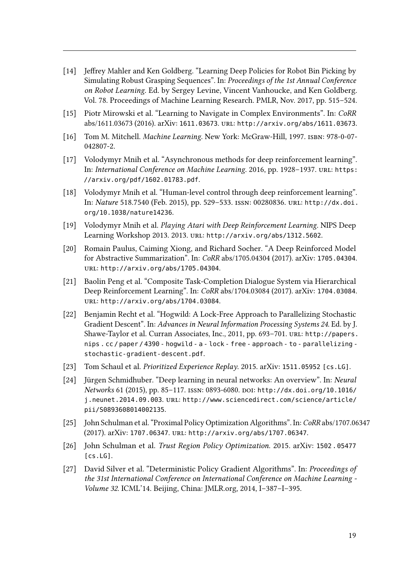- <span id="page-18-13"></span>[14] Jeffrey Mahler and Ken Goldberg. "Learning Deep Policies for Robot Bin Picking by Simulating Robust Grasping Sequences". In: Proceedings of the 1st Annual Conference on Robot Learning. Ed. by Sergey Levine, Vincent Vanhoucke, and Ken Goldberg. Vol. 78. Proceedings of Machine Learning Research. PMLR, Nov. 2017, pp. 515–524.
- <span id="page-18-12"></span>[15] Piotr Mirowski et al. "Learning to Navigate in Complex Environments". In: CoRR abs/1611.03673 (2016). arXiv: [1611.03673](https://arxiv.org/abs/1611.03673). url: <http://arxiv.org/abs/1611.03673>.
- <span id="page-18-2"></span>[16] Tom M. Mitchell. Machine Learning. New York: McGraw-Hill, 1997. isbn: 978-0-07- 042807-2.
- <span id="page-18-4"></span>[17] Volodymyr Mnih et al. "Asynchronous methods for deep reinforcement learning". In: International Conference on Machine Learning. 2016, pp. 1928–1937. URL: [https:](https://arxiv.org/pdf/1602.01783.pdf) [//arxiv.org/pdf/1602.01783.pdf](https://arxiv.org/pdf/1602.01783.pdf).
- <span id="page-18-3"></span>[18] Volodymyr Mnih et al. "Human-level control through deep reinforcement learning". In: Nature 518.7540 (Feb. 2015), pp. 529–533. issn: 00280836. url: [http://dx.doi.](http://dx.doi.org/10.1038/nature14236) [org/10.1038/nature14236](http://dx.doi.org/10.1038/nature14236).
- <span id="page-18-0"></span>[19] Volodymyr Mnih et al. Playing Atari with Deep Reinforcement Learning. NIPS Deep Learning Workshop 2013. 2013. url: <http://arxiv.org/abs/1312.5602>.
- <span id="page-18-10"></span>[20] Romain Paulus, Caiming Xiong, and Richard Socher. "A Deep Reinforced Model for Abstractive Summarization". In: CoRR abs/1705.04304 (2017). arXiv: [1705.04304](https://arxiv.org/abs/1705.04304). url: <http://arxiv.org/abs/1705.04304>.
- <span id="page-18-11"></span>[21] Baolin Peng et al. "Composite Task-Completion Dialogue System via Hierarchical Deep Reinforcement Learning". In: CoRR abs/1704.03084 (2017). arXiv: [1704.03084](https://arxiv.org/abs/1704.03084). url: <http://arxiv.org/abs/1704.03084>.
- <span id="page-18-5"></span>[22] Benjamin Recht et al. "Hogwild: A Lock-Free Approach to Parallelizing Stochastic Gradient Descent". In: Advances in Neural Information Processing Systems 24. Ed. by J. Shawe-Taylor et al. Curran Associates, Inc., 2011, pp. 693-701. url: [http://papers.](http://papers.nips.cc/paper/4390-hogwild-a-lock-free-approach-to-parallelizing-stochastic-gradient-descent.pdf) [nips . cc / paper / 4390 - hogwild - a - lock - free - approach - to - parallelizing](http://papers.nips.cc/paper/4390-hogwild-a-lock-free-approach-to-parallelizing-stochastic-gradient-descent.pdf)  [stochastic-gradient-descent.pdf](http://papers.nips.cc/paper/4390-hogwild-a-lock-free-approach-to-parallelizing-stochastic-gradient-descent.pdf).
- <span id="page-18-9"></span>[23] Tom Schaul et al. Prioritized Experience Replay. 2015. arXiv: [1511.05952 \[cs.LG\]](https://arxiv.org/abs/1511.05952).
- <span id="page-18-1"></span>[24] Jürgen Schmidhuber. "Deep learning in neural networks: An overview". In: Neural Networks 61 (2015), pp. 85-117. ISSN: 0893-6080. DOI: [http://dx.doi.org/10.1016/](https://doi.org/http://dx.doi.org/10.1016/j.neunet.2014.09.003) [j.neunet.2014.09.003](https://doi.org/http://dx.doi.org/10.1016/j.neunet.2014.09.003). url: [http://www.sciencedirect.com/science/article/](http://www.sciencedirect.com/science/article/pii/S0893608014002135) [pii/S0893608014002135](http://www.sciencedirect.com/science/article/pii/S0893608014002135).
- <span id="page-18-7"></span>[25] John Schulman et al. "Proximal Policy Optimization Algorithms". In: CoRR abs/1707.06347 (2017). arXiv: [1707.06347](https://arxiv.org/abs/1707.06347). url: <http://arxiv.org/abs/1707.06347>.
- <span id="page-18-6"></span>[26] John Schulman et al. Trust Region Policy Optimization. 2015. arXiv: [1502 . 05477](https://arxiv.org/abs/1502.05477) [\[cs.LG\]](https://arxiv.org/abs/1502.05477).
- <span id="page-18-8"></span>[27] David Silver et al. "Deterministic Policy Gradient Algorithms". In: Proceedings of the 31st International Conference on International Conference on Machine Learning - Volume 32. ICML'14. Beijing, China: JMLR.org, 2014, I–387–I–395.